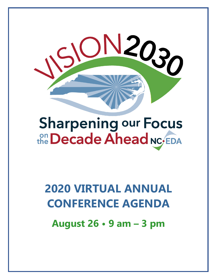

# **Sharpening our Focus** the **Decade Ahead NC**

**2020 VIRTUAL ANNUAL CONFERENCE AGENDA August 26 • 9 am – 3 pm**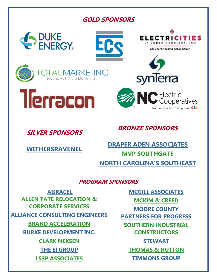#### **GOLD SPONSORS**



**SILVER SPONSORS**

**[WITHERSRAVENEL](https://withersravenel.com/)**

**BRONZE SPONSORS**

**[DRAPER ADEN ASSOCIATES](https://daa.com/) [MVP SOUTHGATE](http://www.mvpsouthgate.com/) [NORTH CAROLINA'S SOUTHEAST](https://www.ncse.org/)**

#### **PROGRAM SPONSORS**

**[AGRACEL](https://agracel.com/) [ALLEN TATE RELOCATION &](https://relocation.allentate.com/)  CORPORATE SERVICES [ALLIANCE CONSULTING ENGINEERS](http://www.alliancece.com/) [BRAND ACCELERATION](https://www.brandaccel.com/) [BURKE DEVELOPMENT INC.](https://burkedevinc.com/) [CLARK NEXSEN](https://www.clarknexsen.com/) [THE EI GROUP](https://ei1.com/) [LS3P ASSOCIATES](https://www.ls3p.com/)**

**[MCGILL ASSOCIATES](https://www.mcgillassociates.com/) [MCKIM & CREED](https://www.mckimcreed.com/) MOORE COUNTY [PARTNERS FOR PROGRESS](https://www.moorebusiness.org/) [SOUTHERN INDUSTRIAL](https://www.southernindustrial.com/)  CONSTRUCTORS [STEWART](http://stewartinc.com/) [THOMAS & HUTTON](https://www.thomasandhutton.com/) [TIMMONS GROUP](http://www.timmons.com/)**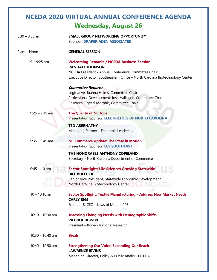## **NCEDA 2020 VIRTUAL ANNUAL CONFERENCE AGENDA Wednesday, August 26**

| $8:30 - 8:55$ am   | <b>SMALL GROUP NETWORKING OPPORTUNITY</b><br><b>Sponsor: DRAPER ADEN ASSOCIATES</b>                                                                                                                                 |
|--------------------|---------------------------------------------------------------------------------------------------------------------------------------------------------------------------------------------------------------------|
| 9 am - Noon        | <b>GENERAL SESSION</b>                                                                                                                                                                                              |
| $9 - 9:25$ am      | <b>Welcoming Remarks / NCEDA Business Session</b><br><b>RANDALL JOHNSON</b><br>NCEDA President / Annual Conference Committee Chair<br>Executive Director, Southeastern Office - North Carolina Biotechnology Center |
|                    | <b>Committee Reports:</b><br>Legislative: Joanna Helms, Committee Chair<br>Professional Development: Josh Hallingse, Committee Chair<br>Research: Crystal Morphis, Committee Chair                                  |
| $9:25 - 9:35$ am   | <b>The Quality of NC Jobs</b><br>Presentation Sponsor: ELECTRICITIES OF NORTH CAROLINA                                                                                                                              |
|                    | <b>TED ABERNATHY</b><br>Managing Partner - Economic Leadership                                                                                                                                                      |
| $9:35 - 9:45$ am   | <b>NC Commerce Update: The State in Motion</b><br>Presentation Sponsor: ECS SOUTHEAST                                                                                                                               |
|                    | THE HONORABLE ANTHONY COPELAND<br>Secretary - North Carolina Department of Commerce                                                                                                                                 |
| $9:45 - 10$ am     | <b>Sector Spotlight: Life Sciences Growing Statewide</b><br><b>BILL BULLOCK</b>                                                                                                                                     |
|                    | Senior Vice President, Statewide Economic Development<br>North Carolina Biotechnology Center                                                                                                                        |
| $10 - 10:10$ am    | Sector Spotlight: Textile Manufacturing - Address New Market Needs<br><b>CARLY BIGI</b><br>Founder & CEO - Laws of Motion PPE                                                                                       |
| $10:10 - 10:30$ am | <b>Assessing Changing Needs with Demographic Shifts</b><br><b>PATRICK BOWEN</b><br>President - Bowen National Research                                                                                              |
| $10:30 - 10:40$ am | <b>Break</b>                                                                                                                                                                                                        |
| $10:40 - 10:50$ am | <b>Strengthening Our Voice; Expanding Our Reach</b><br><b>LAWRENCE BIVINS</b><br>Managing Director, Policy & Public Affairs - NCEDA                                                                                 |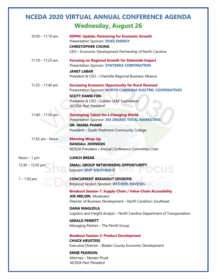### **NCEDA 2020 VIRTUAL ANNUAL CONFERENCE AGENDA Wednesday, August 26**

| $10:50 - 11:10$ am | <b>EDPNC Update: Partnering for Economic Growth</b><br>Presentation Sponsor: DUKE ENERGY<br><b>CHRISTOPHER CHUNG</b><br>CEO - Economic Development Partnership of North Carolina                                           |
|--------------------|----------------------------------------------------------------------------------------------------------------------------------------------------------------------------------------------------------------------------|
| $11:10 - 11:25$ am | <b>Focusing on Regional Growth for Statewide Impact</b><br>Presentation Sponsor: SYNTERRA CORPORATION<br><b>JANET LABAR</b><br>President & CEO - Charlotte Regional Business Alliance                                      |
| $11:25 - 11:40$ am | <b>Increasing Economic Opportunity for Rural Renewal</b><br>Presentation Sponsor: NORTH CAROLINA ELECTRIC COOPERATIVES<br><b>SCOTT HAMILTON</b><br>President & CEO - Golden LEAF Foundation<br><b>NCEDA Past President</b> |
| $11:40 - 11:55$ am | <b>Developing Talent for a Changing World</b><br>Presentation Sponsor: 365 DEGREE TOTAL MARKETING<br><b>DR. MARIA PHARR</b><br>President - South Piedmont Community College                                                |
| 11:55 am - Noon    | <b>Morning Wrap-Up</b><br><b>RANDALL JOHNSON</b><br>NCEDA President / Annual Conference Committee Chair                                                                                                                    |
| Noon - 1 pm        | <b>LUNCH BREAK</b>                                                                                                                                                                                                         |
| 12:30 - 12:55 pm   | <b>SMALL GROUP NETWORKING OPPORTUNITY</b><br><b>Sponsor: MVP SOUTHGATE</b>                                                                                                                                                 |
| $1 - 1:50$ pm      | <b>CONCURRENT BREAKOUT SESSIONS</b><br><b>Breakout Session Sponsor: WITHERS RAVENEI</b>                                                                                                                                    |
|                    | <b>Breakout Session 1: Supply-Chain / Value-Chain Accessibility</b><br><b>JOE MELVIN, Moderator</b><br>Director of Business Development - North Carolina's Southeast                                                       |
|                    | <b>DANA MAGLIOLA</b><br>Logistics and Freight Analyst - North Carolina Department of Transportation                                                                                                                        |
|                    | <b>GERALD PERRITT</b><br>Managing Partner - The Perritt Group                                                                                                                                                              |
|                    | <b>Breakout Session 2: Product Development</b><br><b>CHUCK HEUSTESS</b><br>Executive Director - Bladen County Economic Development                                                                                         |
|                    | <b>ERNIE PEARSON</b><br>Attorney - Nexsen Pruet<br><b>NCEDA Past President</b>                                                                                                                                             |